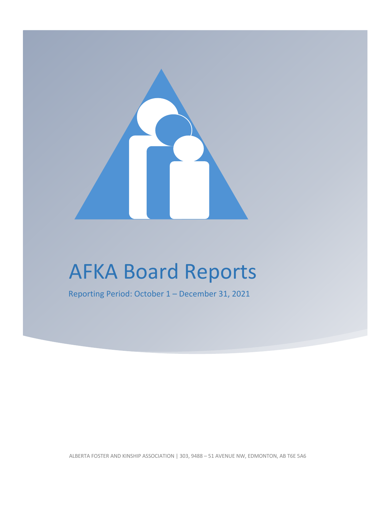

# AFKA Board Reports

Reporting Period: October 1 – December 31, 2021

ALBERTA FOSTER AND KINSHIP ASSOCIATION | 303, 9488 – 51 AVENUE NW, EDMONTON, AB T6E 5A6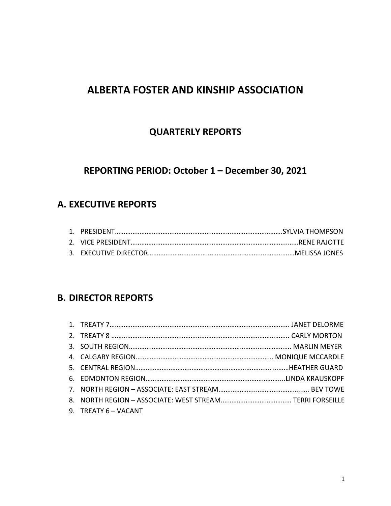## **ALBERTA FOSTER AND KINSHIP ASSOCIATION**

## **QUARTERLY REPORTS**

## **REPORTING PERIOD: October 1 – December 30, 2021**

## **A. EXECUTIVE REPORTS**

## **B. DIRECTOR REPORTS**

| 9. TREATY 6 - VACANT |  |
|----------------------|--|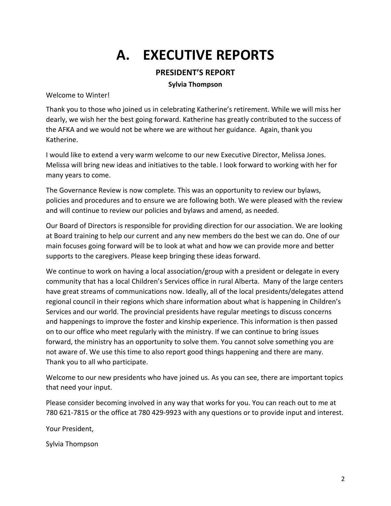## **A. EXECUTIVE REPORTS**

## **PRESIDENT'S REPORT**

#### **Sylvia Thompson**

Welcome to Winter!

Thank you to those who joined us in celebrating Katherine's retirement. While we will miss her dearly, we wish her the best going forward. Katherine has greatly contributed to the success of the AFKA and we would not be where we are without her guidance. Again, thank you Katherine.

I would like to extend a very warm welcome to our new Executive Director, Melissa Jones. Melissa will bring new ideas and initiatives to the table. I look forward to working with her for many years to come.

The Governance Review is now complete. This was an opportunity to review our bylaws, policies and procedures and to ensure we are following both. We were pleased with the review and will continue to review our policies and bylaws and amend, as needed.

Our Board of Directors is responsible for providing direction for our association. We are looking at Board training to help our current and any new members do the best we can do. One of our main focuses going forward will be to look at what and how we can provide more and better supports to the caregivers. Please keep bringing these ideas forward.

We continue to work on having a local association/group with a president or delegate in every community that has a local Children's Services office in rural Alberta. Many of the large centers have great streams of communications now. Ideally, all of the local presidents/delegates attend regional council in their regions which share information about what is happening in Children's Services and our world. The provincial presidents have regular meetings to discuss concerns and happenings to improve the foster and kinship experience. This information is then passed on to our office who meet regularly with the ministry. If we can continue to bring issues forward, the ministry has an opportunity to solve them. You cannot solve something you are not aware of. We use this time to also report good things happening and there are many. Thank you to all who participate.

Welcome to our new presidents who have joined us. As you can see, there are important topics that need your input.

Please consider becoming involved in any way that works for you. You can reach out to me at 780 621-7815 or the office at 780 429-9923 with any questions or to provide input and interest.

Your President,

Sylvia Thompson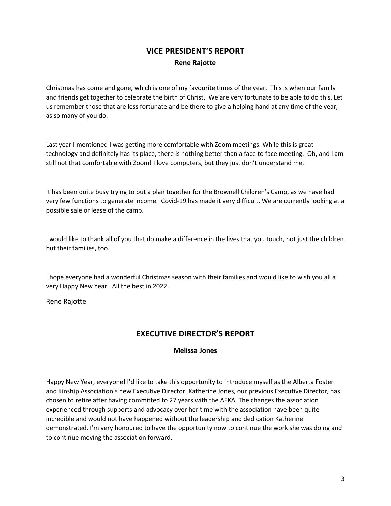## **VICE PRESIDENT'S REPORT Rene Rajotte**

Christmas has come and gone, which is one of my favourite times of the year. This is when our family and friends get together to celebrate the birth of Christ. We are very fortunate to be able to do this. Let us remember those that are less fortunate and be there to give a helping hand at any time of the year, as so many of you do.

Last year I mentioned I was getting more comfortable with Zoom meetings. While this is great technology and definitely has its place, there is nothing better than a face to face meeting. Oh, and I am still not that comfortable with Zoom! I love computers, but they just don't understand me.

It has been quite busy trying to put a plan together for the Brownell Children's Camp, as we have had very few functions to generate income. Covid-19 has made it very difficult. We are currently looking at a possible sale or lease of the camp.

I would like to thank all of you that do make a difference in the lives that you touch, not just the children but their families, too.

I hope everyone had a wonderful Christmas season with their families and would like to wish you all a very Happy New Year. All the best in 2022.

Rene Rajotte

## **EXECUTIVE DIRECTOR'S REPORT**

#### **Melissa Jones**

Happy New Year, everyone! I'd like to take this opportunity to introduce myself as the Alberta Foster and Kinship Association's new Executive Director. Katherine Jones, our previous Executive Director, has chosen to retire after having committed to 27 years with the AFKA. The changes the association experienced through supports and advocacy over her time with the association have been quite incredible and would not have happened without the leadership and dedication Katherine demonstrated. I'm very honoured to have the opportunity now to continue the work she was doing and to continue moving the association forward.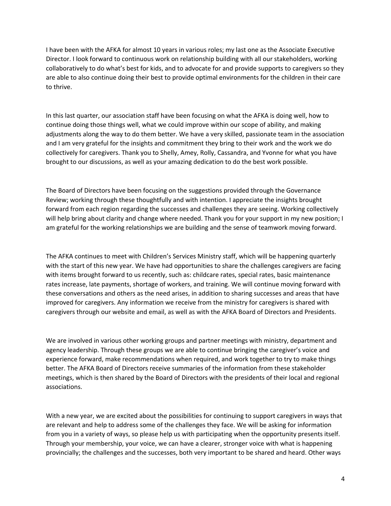I have been with the AFKA for almost 10 years in various roles; my last one as the Associate Executive Director. I look forward to continuous work on relationship building with all our stakeholders, working collaboratively to do what's best for kids, and to advocate for and provide supports to caregivers so they are able to also continue doing their best to provide optimal environments for the children in their care to thrive.

In this last quarter, our association staff have been focusing on what the AFKA is doing well, how to continue doing those things well, what we could improve within our scope of ability, and making adjustments along the way to do them better. We have a very skilled, passionate team in the association and I am very grateful for the insights and commitment they bring to their work and the work we do collectively for caregivers. Thank you to Shelly, Amey, Rolly, Cassandra, and Yvonne for what you have brought to our discussions, as well as your amazing dedication to do the best work possible.

The Board of Directors have been focusing on the suggestions provided through the Governance Review; working through these thoughtfully and with intention. I appreciate the insights brought forward from each region regarding the successes and challenges they are seeing. Working collectively will help bring about clarity and change where needed. Thank you for your support in my new position; I am grateful for the working relationships we are building and the sense of teamwork moving forward.

The AFKA continues to meet with Children's Services Ministry staff, which will be happening quarterly with the start of this new year. We have had opportunities to share the challenges caregivers are facing with items brought forward to us recently, such as: childcare rates, special rates, basic maintenance rates increase, late payments, shortage of workers, and training. We will continue moving forward with these conversations and others as the need arises, in addition to sharing successes and areas that have improved for caregivers. Any information we receive from the ministry for caregivers is shared with caregivers through our website and email, as well as with the AFKA Board of Directors and Presidents.

We are involved in various other working groups and partner meetings with ministry, department and agency leadership. Through these groups we are able to continue bringing the caregiver's voice and experience forward, make recommendations when required, and work together to try to make things better. The AFKA Board of Directors receive summaries of the information from these stakeholder meetings, which is then shared by the Board of Directors with the presidents of their local and regional associations.

With a new year, we are excited about the possibilities for continuing to support caregivers in ways that are relevant and help to address some of the challenges they face. We will be asking for information from you in a variety of ways, so please help us with participating when the opportunity presents itself. Through your membership, your voice, we can have a clearer, stronger voice with what is happening provincially; the challenges and the successes, both very important to be shared and heard. Other ways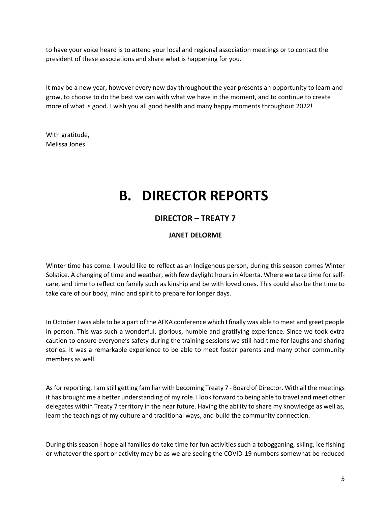to have your voice heard is to attend your local and regional association meetings or to contact the president of these associations and share what is happening for you.

It may be a new year, however every new day throughout the year presents an opportunity to learn and grow, to choose to do the best we can with what we have in the moment, and to continue to create more of what is good. I wish you all good health and many happy moments throughout 2022!

With gratitude, Melissa Jones

## **B. DIRECTOR REPORTS**

## **DIRECTOR – TREATY 7**

### **JANET DELORME**

Winter time has come. I would like to reflect as an Indigenous person, during this season comes Winter Solstice. A changing of time and weather, with few daylight hours in Alberta. Where we take time for selfcare, and time to reflect on family such as kinship and be with loved ones. This could also be the time to take care of our body, mind and spirit to prepare for longer days.

In October I was able to be a part of the AFKA conference which I finally was able to meet and greet people in person. This was such a wonderful, glorious, humble and gratifying experience. Since we took extra caution to ensure everyone's safety during the training sessions we still had time for laughs and sharing stories. It was a remarkable experience to be able to meet foster parents and many other community members as well.

As for reporting, I am still getting familiar with becoming Treaty 7 - Board of Director. With all the meetings it has brought me a better understanding of my role. I look forward to being able to travel and meet other delegates within Treaty 7 territory in the near future. Having the ability to share my knowledge as well as, learn the teachings of my culture and traditional ways, and build the community connection.

During this season I hope all families do take time for fun activities such a tobogganing, skiing, ice fishing or whatever the sport or activity may be as we are seeing the COVID-19 numbers somewhat be reduced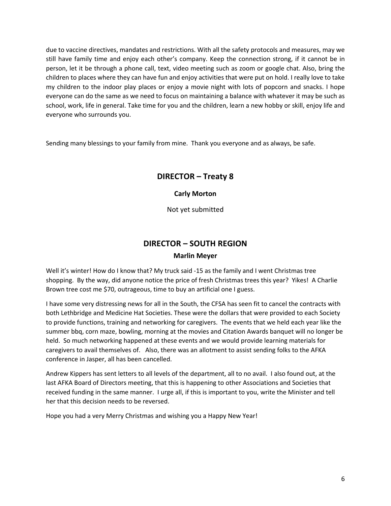due to vaccine directives, mandates and restrictions. With all the safety protocols and measures, may we still have family time and enjoy each other's company. Keep the connection strong, if it cannot be in person, let it be through a phone call, text, video meeting such as zoom or google chat. Also, bring the children to places where they can have fun and enjoy activities that were put on hold. I really love to take my children to the indoor play places or enjoy a movie night with lots of popcorn and snacks. I hope everyone can do the same as we need to focus on maintaining a balance with whatever it may be such as school, work, life in general. Take time for you and the children, learn a new hobby or skill, enjoy life and everyone who surrounds you.

Sending many blessings to your family from mine. Thank you everyone and as always, be safe.

## **DIRECTOR – Treaty 8**

#### **Carly Morton**

Not yet submitted

## **DIRECTOR – SOUTH REGION**

#### **Marlin Meyer**

Well it's winter! How do I know that? My truck said -15 as the family and I went Christmas tree shopping. By the way, did anyone notice the price of fresh Christmas trees this year? Yikes! A Charlie Brown tree cost me \$70, outrageous, time to buy an artificial one I guess.

I have some very distressing news for all in the South, the CFSA has seen fit to cancel the contracts with both Lethbridge and Medicine Hat Societies. These were the dollars that were provided to each Society to provide functions, training and networking for caregivers. The events that we held each year like the summer bbq, corn maze, bowling, morning at the movies and Citation Awards banquet will no longer be held. So much networking happened at these events and we would provide learning materials for caregivers to avail themselves of. Also, there was an allotment to assist sending folks to the AFKA conference in Jasper, all has been cancelled.

Andrew Kippers has sent letters to all levels of the department, all to no avail. I also found out, at the last AFKA Board of Directors meeting, that this is happening to other Associations and Societies that received funding in the same manner. I urge all, if this is important to you, write the Minister and tell her that this decision needs to be reversed.

Hope you had a very Merry Christmas and wishing you a Happy New Year!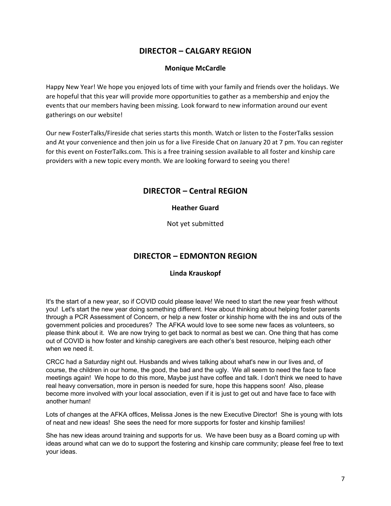## **DIRECTOR – CALGARY REGION**

#### **Monique McCardle**

Happy New Year! We hope you enjoyed lots of time with your family and friends over the holidays. We are hopeful that this year will provide more opportunities to gather as a membership and enjoy the events that our members having been missing. Look forward to new information around our event gatherings on our website!

Our new FosterTalks/Fireside chat series starts this month. Watch or listen to the FosterTalks session and At your convenience and then join us for a live Fireside Chat on January 20 at 7 pm. You can register for this event on FosterTalks.com. This is a free training session available to all foster and kinship care providers with a new topic every month. We are looking forward to seeing you there!

#### **DIRECTOR – Central REGION**

#### **Heather Guard**

Not yet submitted

### **DIRECTOR – EDMONTON REGION**

#### **Linda Krauskopf**

It's the start of a new year, so if COVID could please leave! We need to start the new year fresh without you! Let's start the new year doing something different. How about thinking about helping foster parents through a PCR Assessment of Concern, or help a new foster or kinship home with the ins and outs of the government policies and procedures? The AFKA would love to see some new faces as volunteers, so please think about it. We are now trying to get back to normal as best we can. One thing that has come out of COVID is how foster and kinship caregivers are each other's best resource, helping each other when we need it.

CRCC had a Saturday night out. Husbands and wives talking about what's new in our lives and, of course, the children in our home, the good, the bad and the ugly. We all seem to need the face to face meetings again! We hope to do this more, Maybe just have coffee and talk. I don't think we need to have real heavy conversation, more in person is needed for sure, hope this happens soon! Also, please become more involved with your local association, even if it is just to get out and have face to face with another human!

Lots of changes at the AFKA offices, Melissa Jones is the new Executive Director! She is young with lots of neat and new ideas! She sees the need for more supports for foster and kinship families!

She has new ideas around training and supports for us. We have been busy as a Board coming up with ideas around what can we do to support the fostering and kinship care community; please feel free to text your ideas.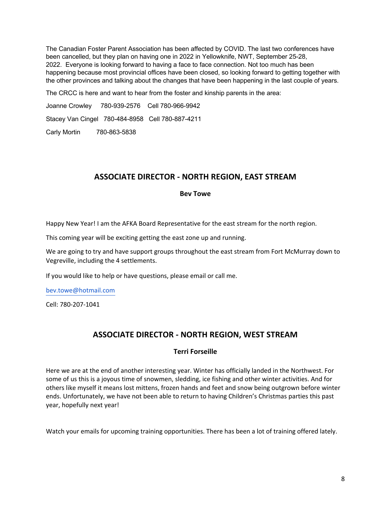The Canadian Foster Parent Association has been affected by COVID. The last two conferences have been cancelled, but they plan on having one in 2022 in Yellowknife, NWT, September 25-28, 2022. Everyone is looking forward to having a face to face connection. Not too much has been happening because most provincial offices have been closed, so looking forward to getting together with the other provinces and talking about the changes that have been happening in the last couple of years.

The CRCC is here and want to hear from the foster and kinship parents in the area:

Joanne Crowley 780-939-2576 Cell 780-966-9942

Stacey Van Cingel 780-484-8958 Cell 780-887-4211

Carly Mortin 780-863-5838

## **ASSOCIATE DIRECTOR - NORTH REGION, EAST STREAM**

#### **Bev Towe**

Happy New Year! I am the AFKA Board Representative for the east stream for the north region.

This coming year will be exciting getting the east zone up and running.

We are going to try and have support groups throughout the east stream from Fort McMurray down to Vegreville, including the 4 settlements.

If you would like to help or have questions, please email or call me.

bev.towe@hotmail.com

Cell: 780-207-1041

## **ASSOCIATE DIRECTOR - NORTH REGION, WEST STREAM**

#### **Terri Forseille**

Here we are at the end of another interesting year. Winter has officially landed in the Northwest. For some of us this is a joyous time of snowmen, sledding, ice fishing and other winter activities. And for others like myself it means lost mittens, frozen hands and feet and snow being outgrown before winter ends. Unfortunately, we have not been able to return to having Children's Christmas parties this past year, hopefully next year!

Watch your emails for upcoming training opportunities. There has been a lot of training offered lately.